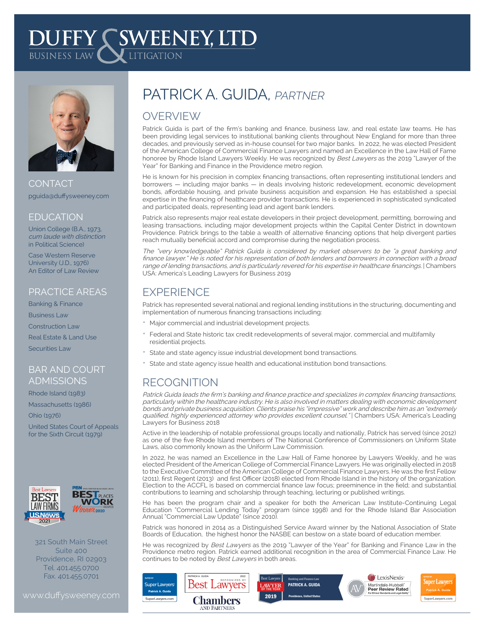# **DUFFY SWEENEY, LTD**



CONTACT pguida@duffysweeney.com

#### **EDUCATION**

Union College (B.A., 1973, cum laude with distinction in Political Science)

Case Western Reserve University (J.D., 1976) An Editor of Law Review

#### PRACTICE AREAS

Banking & Finance Business Law Construction Law

Real Estate & Land Use

Securities Law

#### BAR AND COURT ADMISSIONS

Rhode Island (1983)

Massachusetts (1986)

Ohio (1976)

United States Court of Appeals for the Sixth Circuit (1979)



## **BEST PLACES** WORK

321 South Main Street Suite 400 Providence, RI 02903 Tel. 401.455.0700 Fax. 401.455.0701

## PATRICK A. GUIDA. PARTNER

### **OVERVIEW**

Patrick Guida is part of the firm's banking and finance, business law, and real estate law teams. He has been providing legal services to institutional banking clients throughout New England for more than three decades, and previously served as in-house counsel for two major banks. In 2022, he was elected President of the American College of Commercial Finance Lawyers and named an Excellence in the Law Hall of Fame honoree by Rhode Island Lawyers Weekly. He was recognized by Best Lawyers as the 2019 "Lawyer of the Year" for Banking and Finance in the Providence metro region.

He is known for his precision in complex financing transactions, often representing institutional lenders and borrowers — including major banks — in deals involving historic redevelopment, economic development bonds, affordable housing, and private business acquisition and expansion. He has established a special expertise in the financing of healthcare provider transactions. He is experienced in sophisticated syndicated and participated deals, representing lead and agent bank lenders.

Patrick also represents major real estate developers in their project development, permitting, borrowing and leasing transactions, including major development projects within the Capital Center District in downtown Providence. Patrick brings to the table a wealth of alternative financing options that help divergent parties reach mutually beneficial accord and compromise during the negotiation process.

The "very knowledgeable" Patrick Guida is considered by market observers to be "a great banking and finance lawyer." He is noted for his representation of both lenders and borrowers in connection with a broad range of lending transactions, and is particularly revered for his expertise in healthcare financings. | Chambers USA: America's Leading Lawyers for Business 2019

#### **EXPERIENCE**

Patrick has represented several national and regional lending institutions in the structuring, documenting and implementation of numerous financing transactions including:

- Major commercial and industrial development projects.
- Federal and State historic tax credit redevelopments of several major, commercial and multifamily residential projects.
- State and state agency issue industrial development bond transactions.
- State and state agency issue health and educational institution bond transactions.

### RECOGNITION

Patrick Guida leads the firm's banking and finance practice and specializes in complex financing transactions, particularly within the healthcare industry. He is also involved in matters dealing with economic development bonds and private business acquisition. Clients praise his "impressive" work and describe him as an "extremely qualified, highly experienced attorney who provides excellent counsel." | Chambers USA: America's Leading Lawyers for Business 2018

Active in the leadership of notable professional groups locally and nationally, Patrick has served (since 2012) as one of the five Rhode Island members of The National Conference of Commissioners on Uniform State Laws, also commonly known as the Uniform Law Commission.

In 2022, he was named an Excellence in the Law Hall of Fame honoree by Lawyers Weekly, and he was elected President of the American College of Commercial Finance Lawyers. He was originally elected in 2018 to the Executive Committee of the American College of Commercial Finance Lawyers. He was the first Fellow (2011), first Regent (2013) and first Officer (2018) elected from Rhode Island in the history of the organization. Election to the ACCFL is based on commercial finance law focus; preeminence in the field; and substantial contributions to learning and scholarship through teaching, lecturing or published writings.

He has been the program chair and a speaker for both the American Law Institute-Continuing Legal Education "Commercial Lending Today" program (since 1998) and for the Rhode Island Bar Association Annual "Commercial Law Update" (since 2010).

Patrick was honored in 2014 as a Distinguished Service Award winner by the National Association of State Boards of Education, the highest honor the NASBE can bestow on a state board of education member.

He was recognized by Best Lawyers as the 2019 "Lawyer of the Year" for Banking and Finance Law in the Providence metro region. Patrick earned additional recognition in the area of Commercial Finance Law. He continues to be noted by Best Lawyers in both areas.